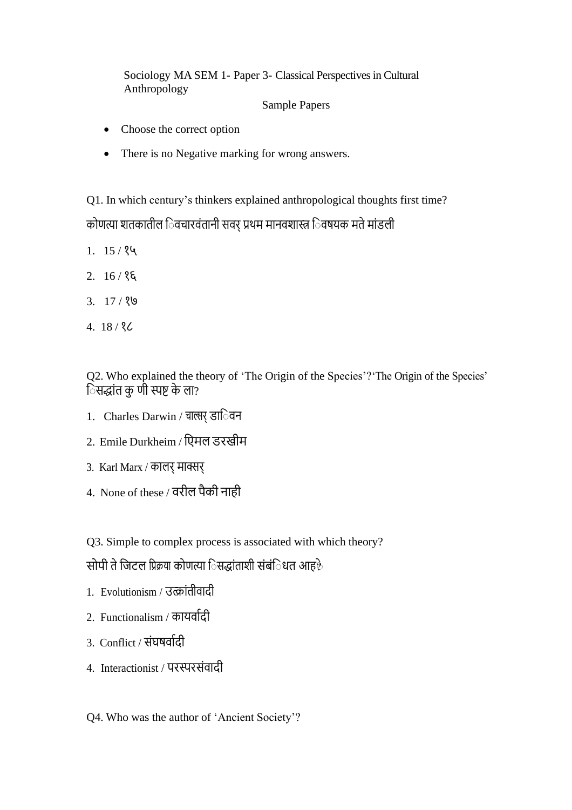Sociology MA SEM 1- Paper 3- Classical Perspectives in Cultural Anthropology

Sample Papers

- Choose the correct option
- There is no Negative marking for wrong answers.

Q1. In which century's thinkers explained anthropological thoughts first time? कोणत्या शतकातील िवचारवंतानी सवर् प्रथम मानवशास्त्र िवषयक मते मांडली

- $1. 15 / 84$
- $2. 16 / 8$
- 3. 17 / १७
- 4. 18 / १८

Q2. Who explained the theory of 'The Origin of the Species'?'The Origin of the Species' िसद्धांत कु णी स्पष्ट के ला?

- 1. Charles Darwin / चाल्सर् डा**िवन**
- 2. Emile Durkheim / ििमल डरखीम
- 3. Karl Marx / कालर् मार्क्सर्
- 4. None of these / वरील पैकी नाही

Q3. Simple to complex process is associated with which theory?

सोपी ते जिटल प्रिक्रया कोणत्या िसद्धांताशी संबंिधत आह $\delta$ 

- 1. Evolutionism / उत्क्ांतीवादी
- 2. Functionalism / कायर्वादी
- $3.$  Conflict / संघषवर्दि।
- 4. Interactionist / परस्परसंवादी
- Q4. Who was the author of 'Ancient Society'?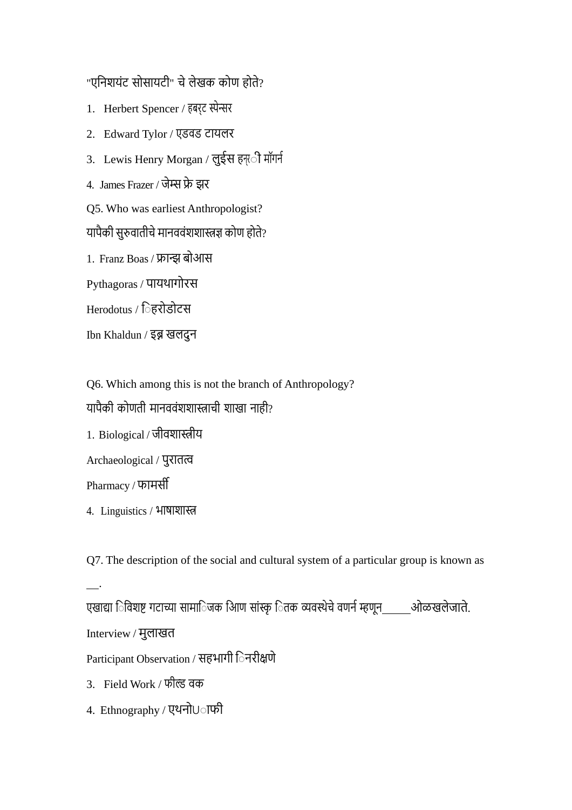"एनिशयंट सोसायटी" चे लेखक कोण होते?

- 1. Herbert Spencer / हबर्ट स्पेन्सर
- 2. Edward Tylor / एडवड टायलर
- 3. Lewis Henry Morgan / लुईस हन्ती मॉगर्न
- 4. James Frazer / िेम्स फ्रे झर
- Q5. Who was earliest Anthropologist?
- यापैकी सुरुवातीचे मानववंशशास्त्रज्ञ कोण होते?
- 1. Franz Boas / फ्रान्झ बोआस
- Pythagoras / पायथागोरस
- Herodotus / िहरोडोटस
- Ibn Khaldun / इब्न खलदुन
- Q6. Which among this is not the branch of Anthropology? यापैकी कोणती मानववंशशास्त्राची शाखा नाही? 1. Biological / िीवशास्त्रीय
- Archaeological / पुरातत्व
- Pharmacy / फामसी

.

- 4. Linguistics / भाषाशास्त्र
- Q7. The description of the social and cultural system of a particular group is known as
- एखाद्या ि विशष्ट गटाच्या सामािजक आिण सांस्कृ ितक व्यवस्थेचे वणर्न म्हणून \_\_\_\_\_ ओळखलेजाते. Interview / मुलाखत Participant Observation / सहभागी िनरीक्षणे
- 3. Field Work / फील्ड वक
- 4. Ethnography / एथनो∪ाफी